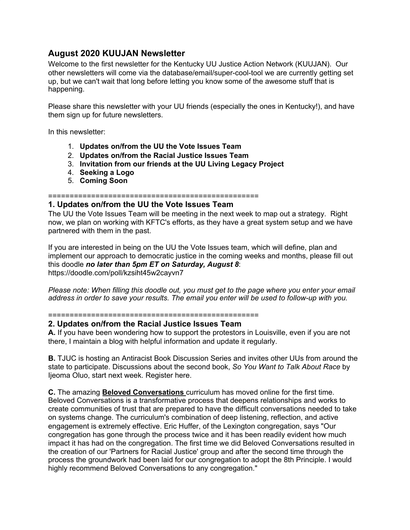# **August 2020 KUUJAN Newsletter**

Welcome to the first newsletter for the Kentucky UU Justice Action Network (KUUJAN). Our other newsletters will come via the database/email/super-cool-tool we are currently getting set up, but we can't wait that long before letting you know some of the awesome stuff that is happening.

Please share this newsletter with your UU friends (especially the ones in Kentucky!), and have them sign up for future newsletters.

In this newsletter:

- 1. **Updates on/from the UU the Vote Issues Team**
- 2. **Updates on/from the Racial Justice Issues Team**
- 3. **Invitation from our friends at the UU Living Legacy Project**
- 4. **Seeking a Logo**
- 5. **Coming Soon**

### =================================================

## **1. Updates on/from the UU the Vote Issues Team**

The UU the Vote Issues Team will be meeting in the next week to map out a strategy. Right now, we plan on working with KFTC's efforts, as they have a great system setup and we have partnered with them in the past.

If you are interested in being on the UU the Vote Issues team, which will define, plan and implement our approach to democratic justice in the coming weeks and months, please fill out this doodle *no later than 5pm ET on Saturday, August 8*: https://doodle.com/poll/kzsiht45w2cayvn7

*Please note: When filling this doodle out, you must get to the page where you enter your email address in order to save your results. The email you enter will be used to follow-up with you.*

=================================================

### **2. Updates on/from the Racial Justice Issues Team**

**A.** If you have been wondering how to support the protestors in Louisville, even if you are not there, I maintain a blog with helpful information and update it regularly.

**B.** TJUC is hosting an Antiracist Book Discussion Series and invites other UUs from around the state to participate. Discussions about the second book, *So You Want to Talk About Race* by Ijeoma Oluo, start next week. Register here.

**C.** The amazing **Beloved [Conversations](https://www.meadville.edu/fahs-collaborative/fahs-curriculum-catalogue/beloved-conversations/)** curriculum has moved online for the first time. Beloved Conversations is a transformative process that deepens relationships and works to create communities of trust that are prepared to have the difficult conversations needed to take on systems change. The curriculum's combination of deep listening, reflection, and active engagement is extremely effective. Eric Huffer, of the Lexington congregation, says "Our congregation has gone through the process twice and it has been readily evident how much impact it has had on the congregation. The first time we did Beloved Conversations resulted in the creation of our 'Partners for Racial Justice' group and after the second time through the process the groundwork had been laid for our congregation to adopt the 8th Principle. I would highly recommend Beloved Conversations to any congregation."